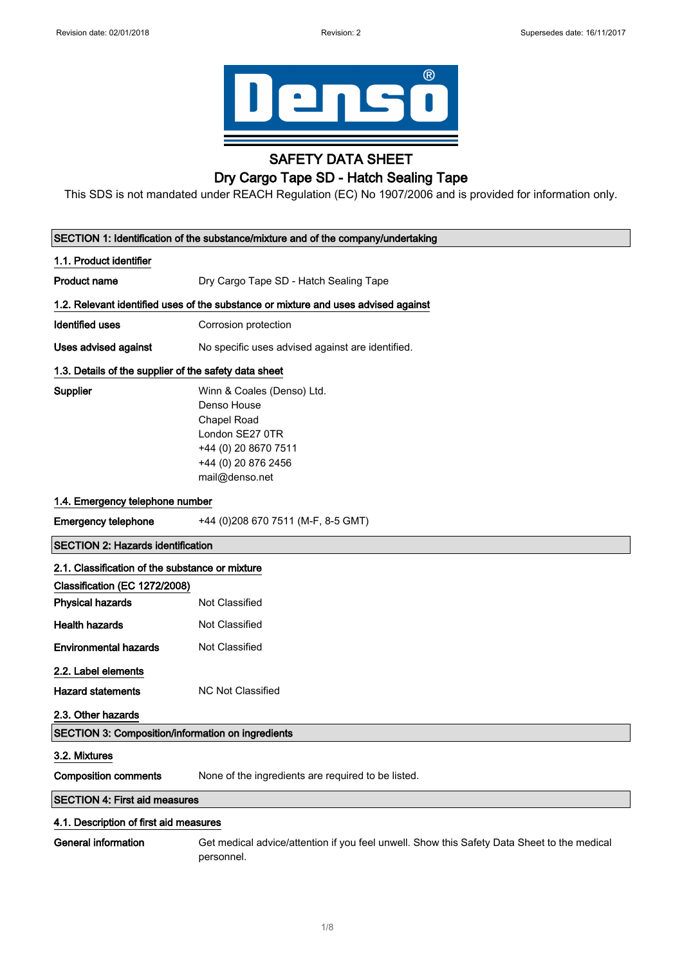

## SAFETY DATA SHEET

## Dry Cargo Tape SD - Hatch Sealing Tape

This SDS is not mandated under REACH Regulation (EC) No 1907/2006 and is provided for information only.

| SECTION 1: Identification of the substance/mixture and of the company/undertaking |                                                                                                                                              |
|-----------------------------------------------------------------------------------|----------------------------------------------------------------------------------------------------------------------------------------------|
| 1.1. Product identifier                                                           |                                                                                                                                              |
| <b>Product name</b>                                                               | Dry Cargo Tape SD - Hatch Sealing Tape                                                                                                       |
|                                                                                   | 1.2. Relevant identified uses of the substance or mixture and uses advised against                                                           |
| <b>Identified uses</b>                                                            | Corrosion protection                                                                                                                         |
| <b>Uses advised against</b>                                                       | No specific uses advised against are identified.                                                                                             |
| 1.3. Details of the supplier of the safety data sheet                             |                                                                                                                                              |
| <b>Supplier</b>                                                                   | Winn & Coales (Denso) Ltd.<br>Denso House<br>Chapel Road<br>London SE27 0TR<br>+44 (0) 20 8670 7511<br>+44 (0) 20 876 2456<br>mail@denso.net |
| 1.4. Emergency telephone number                                                   |                                                                                                                                              |
| <b>Emergency telephone</b>                                                        | +44 (0) 208 670 7511 (M-F, 8-5 GMT)                                                                                                          |
| <b>SECTION 2: Hazards identification</b>                                          |                                                                                                                                              |
| 2.1. Classification of the substance or mixture                                   |                                                                                                                                              |
| Classification (EC 1272/2008)                                                     |                                                                                                                                              |
| <b>Physical hazards</b>                                                           | Not Classified                                                                                                                               |
| <b>Health hazards</b>                                                             | Not Classified                                                                                                                               |
| <b>Environmental hazards</b>                                                      | Not Classified                                                                                                                               |
| 2.2. Label elements                                                               |                                                                                                                                              |
| <b>Hazard statements</b>                                                          | <b>NC Not Classified</b>                                                                                                                     |
| 2.3. Other hazards                                                                |                                                                                                                                              |
| <b>SECTION 3: Composition/information on ingredients</b>                          |                                                                                                                                              |
| 3.2. Mixtures                                                                     |                                                                                                                                              |
| <b>Composition comments</b>                                                       | None of the ingredients are required to be listed.                                                                                           |
| <b>SECTION 4: First aid measures</b>                                              |                                                                                                                                              |
| 4.1. Description of first aid measures                                            |                                                                                                                                              |
| <b>General information</b>                                                        | Get medical advice/attention if you feel unwell. Show this Safety Data Sheet to the medical<br>personnel.                                    |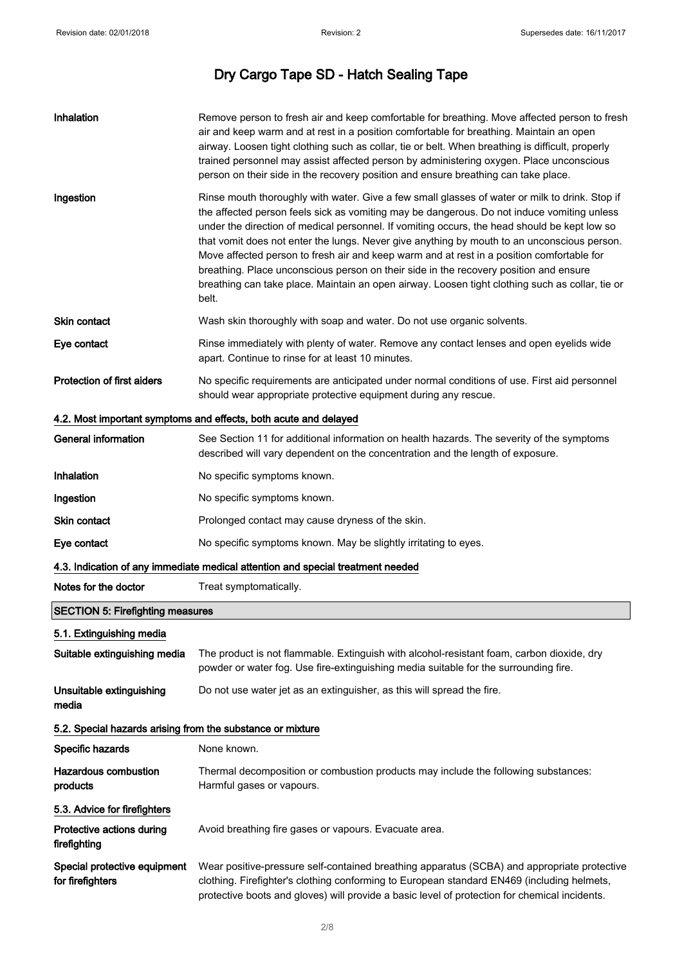| Inhalation                                                 | Remove person to fresh air and keep comfortable for breathing. Move affected person to fresh<br>air and keep warm and at rest in a position comfortable for breathing. Maintain an open<br>airway. Loosen tight clothing such as collar, tie or belt. When breathing is difficult, properly<br>trained personnel may assist affected person by administering oxygen. Place unconscious<br>person on their side in the recovery position and ensure breathing can take place.                                                                                                                                                                                                                  |
|------------------------------------------------------------|-----------------------------------------------------------------------------------------------------------------------------------------------------------------------------------------------------------------------------------------------------------------------------------------------------------------------------------------------------------------------------------------------------------------------------------------------------------------------------------------------------------------------------------------------------------------------------------------------------------------------------------------------------------------------------------------------|
| Ingestion                                                  | Rinse mouth thoroughly with water. Give a few small glasses of water or milk to drink. Stop if<br>the affected person feels sick as vomiting may be dangerous. Do not induce vomiting unless<br>under the direction of medical personnel. If vomiting occurs, the head should be kept low so<br>that vomit does not enter the lungs. Never give anything by mouth to an unconscious person.<br>Move affected person to fresh air and keep warm and at rest in a position comfortable for<br>breathing. Place unconscious person on their side in the recovery position and ensure<br>breathing can take place. Maintain an open airway. Loosen tight clothing such as collar, tie or<br>belt. |
| Skin contact                                               | Wash skin thoroughly with soap and water. Do not use organic solvents.                                                                                                                                                                                                                                                                                                                                                                                                                                                                                                                                                                                                                        |
| Eye contact                                                | Rinse immediately with plenty of water. Remove any contact lenses and open eyelids wide<br>apart. Continue to rinse for at least 10 minutes.                                                                                                                                                                                                                                                                                                                                                                                                                                                                                                                                                  |
| <b>Protection of first aiders</b>                          | No specific requirements are anticipated under normal conditions of use. First aid personnel<br>should wear appropriate protective equipment during any rescue.                                                                                                                                                                                                                                                                                                                                                                                                                                                                                                                               |
|                                                            | 4.2. Most important symptoms and effects, both acute and delayed                                                                                                                                                                                                                                                                                                                                                                                                                                                                                                                                                                                                                              |
| <b>General information</b>                                 | See Section 11 for additional information on health hazards. The severity of the symptoms<br>described will vary dependent on the concentration and the length of exposure.                                                                                                                                                                                                                                                                                                                                                                                                                                                                                                                   |
| Inhalation                                                 | No specific symptoms known.                                                                                                                                                                                                                                                                                                                                                                                                                                                                                                                                                                                                                                                                   |
| Ingestion                                                  | No specific symptoms known.                                                                                                                                                                                                                                                                                                                                                                                                                                                                                                                                                                                                                                                                   |
| <b>Skin contact</b>                                        | Prolonged contact may cause dryness of the skin.                                                                                                                                                                                                                                                                                                                                                                                                                                                                                                                                                                                                                                              |
| Eye contact                                                | No specific symptoms known. May be slightly irritating to eyes.                                                                                                                                                                                                                                                                                                                                                                                                                                                                                                                                                                                                                               |
|                                                            | 4.3. Indication of any immediate medical attention and special treatment needed                                                                                                                                                                                                                                                                                                                                                                                                                                                                                                                                                                                                               |
| Notes for the doctor                                       | Treat symptomatically.                                                                                                                                                                                                                                                                                                                                                                                                                                                                                                                                                                                                                                                                        |
| <b>SECTION 5: Firefighting measures</b>                    |                                                                                                                                                                                                                                                                                                                                                                                                                                                                                                                                                                                                                                                                                               |
| 5.1. Extinguishing media                                   |                                                                                                                                                                                                                                                                                                                                                                                                                                                                                                                                                                                                                                                                                               |
| Suitable extinguishing media                               | The product is not flammable. Extinguish with alcohol-resistant foam, carbon dioxide, dry<br>powder or water fog. Use fire-extinguishing media suitable for the surrounding fire.                                                                                                                                                                                                                                                                                                                                                                                                                                                                                                             |
| Unsuitable extinguishing<br>media                          | Do not use water jet as an extinguisher, as this will spread the fire.                                                                                                                                                                                                                                                                                                                                                                                                                                                                                                                                                                                                                        |
| 5.2. Special hazards arising from the substance or mixture |                                                                                                                                                                                                                                                                                                                                                                                                                                                                                                                                                                                                                                                                                               |
| Specific hazards                                           | None known.                                                                                                                                                                                                                                                                                                                                                                                                                                                                                                                                                                                                                                                                                   |
| <b>Hazardous combustion</b><br>products                    | Thermal decomposition or combustion products may include the following substances:<br>Harmful gases or vapours.                                                                                                                                                                                                                                                                                                                                                                                                                                                                                                                                                                               |
| 5.3. Advice for firefighters                               |                                                                                                                                                                                                                                                                                                                                                                                                                                                                                                                                                                                                                                                                                               |
| Protective actions during<br>firefighting                  | Avoid breathing fire gases or vapours. Evacuate area.                                                                                                                                                                                                                                                                                                                                                                                                                                                                                                                                                                                                                                         |
| Special protective equipment<br>for firefighters           | Wear positive-pressure self-contained breathing apparatus (SCBA) and appropriate protective<br>clothing. Firefighter's clothing conforming to European standard EN469 (including helmets,<br>protective boots and gloves) will provide a basic level of protection for chemical incidents.                                                                                                                                                                                                                                                                                                                                                                                                    |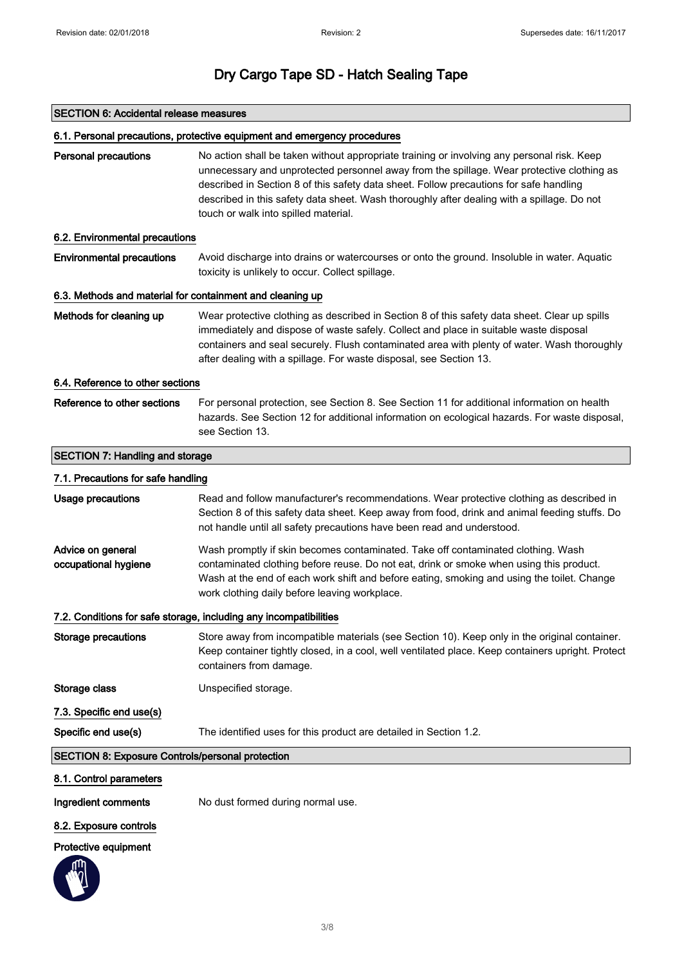### SECTION 6: Accidental release measures

### 6.1. Personal precautions, protective equipment and emergency procedures

| <b>Personal precautions</b>                               | No action shall be taken without appropriate training or involving any personal risk. Keep<br>unnecessary and unprotected personnel away from the spillage. Wear protective clothing as<br>described in Section 8 of this safety data sheet. Follow precautions for safe handling<br>described in this safety data sheet. Wash thoroughly after dealing with a spillage. Do not<br>touch or walk into spilled material. |
|-----------------------------------------------------------|-------------------------------------------------------------------------------------------------------------------------------------------------------------------------------------------------------------------------------------------------------------------------------------------------------------------------------------------------------------------------------------------------------------------------|
| 6.2. Environmental precautions                            |                                                                                                                                                                                                                                                                                                                                                                                                                         |
| <b>Environmental precautions</b>                          | Avoid discharge into drains or watercourses or onto the ground. Insoluble in water. Aquatic<br>toxicity is unlikely to occur. Collect spillage.                                                                                                                                                                                                                                                                         |
| 6.3. Methods and material for containment and cleaning up |                                                                                                                                                                                                                                                                                                                                                                                                                         |
| Methods for cleaning up                                   | Wear protective clothing as described in Section 8 of this safety data sheet. Clear up spills<br>immediately and dispose of waste safely. Collect and place in suitable waste disposal<br>containers and seal securely. Flush contaminated area with plenty of water. Wash thoroughly<br>after dealing with a spillage. For waste disposal, see Section 13.                                                             |
| 6.4. Reference to other sections                          |                                                                                                                                                                                                                                                                                                                                                                                                                         |
| Reference to other sections                               | For personal protection, see Section 8. See Section 11 for additional information on health<br>hazards. See Section 12 for additional information on ecological hazards. For waste disposal,<br>see Section 13.                                                                                                                                                                                                         |
| <b>SECTION 7: Handling and storage</b>                    |                                                                                                                                                                                                                                                                                                                                                                                                                         |
| 7.1. Precautions for safe handling                        |                                                                                                                                                                                                                                                                                                                                                                                                                         |
| <b>Usage precautions</b>                                  | Read and follow manufacturer's recommendations. Wear protective clothing as described in<br>Section 8 of this safety data sheet. Keep away from food, drink and animal feeding stuffs. Do<br>not handle until all safety precautions have been read and understood.                                                                                                                                                     |
| Advice on general<br>occupational hygiene                 | Wash promptly if skin becomes contaminated. Take off contaminated clothing. Wash<br>contaminated clothing before reuse. Do not eat, drink or smoke when using this product.<br>Wash at the end of each work shift and before eating, smoking and using the toilet. Change<br>work clothing daily before leaving workplace.                                                                                              |
|                                                           | 7.2. Conditions for safe storage, including any incompatibilities                                                                                                                                                                                                                                                                                                                                                       |
| <b>Storage precautions</b>                                | Store away from incompatible materials (see Section 10). Keep only in the original container.<br>Keep container tightly closed, in a cool, well ventilated place. Keep containers upright. Protect<br>containers from damage.                                                                                                                                                                                           |
| Storage class                                             | Unspecified storage.                                                                                                                                                                                                                                                                                                                                                                                                    |
| 7.3. Specific end use(s)                                  |                                                                                                                                                                                                                                                                                                                                                                                                                         |
| Specific end use(s)                                       | The identified uses for this product are detailed in Section 1.2.                                                                                                                                                                                                                                                                                                                                                       |
| <b>SECTION 8: Exposure Controls/personal protection</b>   |                                                                                                                                                                                                                                                                                                                                                                                                                         |
| 8.1. Control parameters                                   |                                                                                                                                                                                                                                                                                                                                                                                                                         |
| Ingredient comments                                       | No dust formed during normal use.                                                                                                                                                                                                                                                                                                                                                                                       |

8.2. Exposure controls

Protective equipment

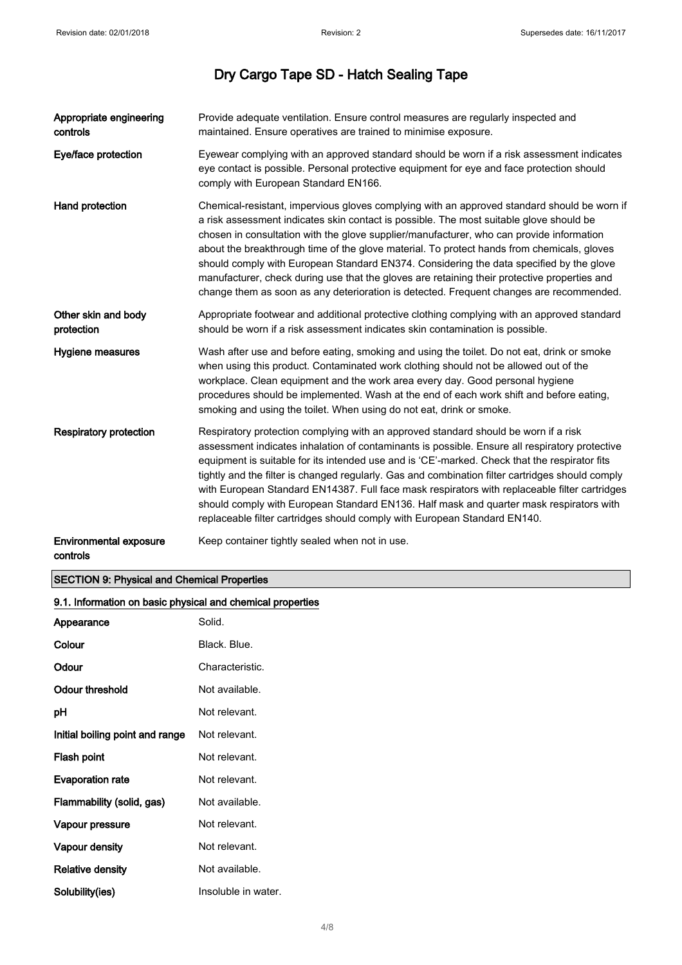| Appropriate engineering<br>controls       | Provide adequate ventilation. Ensure control measures are regularly inspected and<br>maintained. Ensure operatives are trained to minimise exposure.                                                                                                                                                                                                                                                                                                                                                                                                                                                                                                                   |
|-------------------------------------------|------------------------------------------------------------------------------------------------------------------------------------------------------------------------------------------------------------------------------------------------------------------------------------------------------------------------------------------------------------------------------------------------------------------------------------------------------------------------------------------------------------------------------------------------------------------------------------------------------------------------------------------------------------------------|
| Eye/face protection                       | Eyewear complying with an approved standard should be worn if a risk assessment indicates<br>eye contact is possible. Personal protective equipment for eye and face protection should<br>comply with European Standard EN166.                                                                                                                                                                                                                                                                                                                                                                                                                                         |
| Hand protection                           | Chemical-resistant, impervious gloves complying with an approved standard should be worn if<br>a risk assessment indicates skin contact is possible. The most suitable glove should be<br>chosen in consultation with the glove supplier/manufacturer, who can provide information<br>about the breakthrough time of the glove material. To protect hands from chemicals, gloves<br>should comply with European Standard EN374. Considering the data specified by the glove<br>manufacturer, check during use that the gloves are retaining their protective properties and<br>change them as soon as any deterioration is detected. Frequent changes are recommended. |
| Other skin and body<br>protection         | Appropriate footwear and additional protective clothing complying with an approved standard<br>should be worn if a risk assessment indicates skin contamination is possible.                                                                                                                                                                                                                                                                                                                                                                                                                                                                                           |
| Hygiene measures                          | Wash after use and before eating, smoking and using the toilet. Do not eat, drink or smoke<br>when using this product. Contaminated work clothing should not be allowed out of the<br>workplace. Clean equipment and the work area every day. Good personal hygiene<br>procedures should be implemented. Wash at the end of each work shift and before eating,<br>smoking and using the toilet. When using do not eat, drink or smoke.                                                                                                                                                                                                                                 |
| <b>Respiratory protection</b>             | Respiratory protection complying with an approved standard should be worn if a risk<br>assessment indicates inhalation of contaminants is possible. Ensure all respiratory protective<br>equipment is suitable for its intended use and is 'CE'-marked. Check that the respirator fits<br>tightly and the filter is changed regularly. Gas and combination filter cartridges should comply<br>with European Standard EN14387. Full face mask respirators with replaceable filter cartridges<br>should comply with European Standard EN136. Half mask and quarter mask respirators with<br>replaceable filter cartridges should comply with European Standard EN140.    |
| <b>Environmental exposure</b><br>controls | Keep container tightly sealed when not in use.                                                                                                                                                                                                                                                                                                                                                                                                                                                                                                                                                                                                                         |

## SECTION 9: Physical and Chemical Properties

Solubility(ies) **Insoluble in water.** 

| 9.1. Information on basic physical and chemical properties |                 |
|------------------------------------------------------------|-----------------|
| Appearance                                                 | Solid.          |
| Colour                                                     | Black. Blue.    |
| Odour                                                      | Characteristic. |
| <b>Odour threshold</b>                                     | Not available.  |
| pH                                                         | Not relevant.   |
| Initial boiling point and range                            | Not relevant.   |
| Flash point                                                | Not relevant.   |
| <b>Evaporation rate</b>                                    | Not relevant.   |
| Flammability (solid, gas)                                  | Not available.  |
| Vapour pressure                                            | Not relevant.   |
| Vapour density                                             | Not relevant.   |
| <b>Relative density</b>                                    | Not available.  |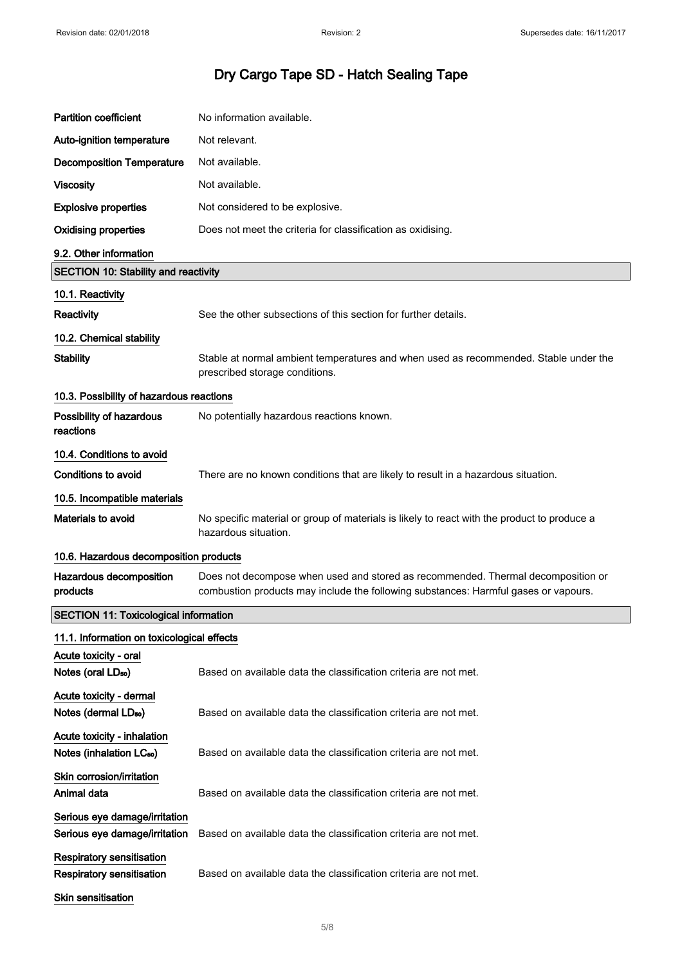| <b>Partition coefficient</b>                                        | No information available.                                                                                                                                               |
|---------------------------------------------------------------------|-------------------------------------------------------------------------------------------------------------------------------------------------------------------------|
| Auto-ignition temperature                                           | Not relevant.                                                                                                                                                           |
| <b>Decomposition Temperature</b>                                    | Not available.                                                                                                                                                          |
| <b>Viscosity</b>                                                    | Not available.                                                                                                                                                          |
| <b>Explosive properties</b>                                         | Not considered to be explosive.                                                                                                                                         |
| <b>Oxidising properties</b>                                         | Does not meet the criteria for classification as oxidising.                                                                                                             |
| 9.2. Other information                                              |                                                                                                                                                                         |
| <b>SECTION 10: Stability and reactivity</b>                         |                                                                                                                                                                         |
| 10.1. Reactivity                                                    |                                                                                                                                                                         |
| Reactivity                                                          | See the other subsections of this section for further details.                                                                                                          |
| 10.2. Chemical stability                                            |                                                                                                                                                                         |
| <b>Stability</b>                                                    | Stable at normal ambient temperatures and when used as recommended. Stable under the<br>prescribed storage conditions.                                                  |
| 10.3. Possibility of hazardous reactions                            |                                                                                                                                                                         |
| Possibility of hazardous<br>reactions                               | No potentially hazardous reactions known.                                                                                                                               |
| 10.4. Conditions to avoid                                           |                                                                                                                                                                         |
| <b>Conditions to avoid</b>                                          | There are no known conditions that are likely to result in a hazardous situation.                                                                                       |
| 10.5. Incompatible materials                                        |                                                                                                                                                                         |
| Materials to avoid                                                  | No specific material or group of materials is likely to react with the product to produce a<br>hazardous situation.                                                     |
| 10.6. Hazardous decomposition products                              |                                                                                                                                                                         |
| Hazardous decomposition<br>products                                 | Does not decompose when used and stored as recommended. Thermal decomposition or<br>combustion products may include the following substances: Harmful gases or vapours. |
| <b>SECTION 11: Toxicological information</b>                        |                                                                                                                                                                         |
| 11.1. Information on toxicological effects                          |                                                                                                                                                                         |
| Acute toxicity - oral<br>Notes (oral LD <sub>50</sub> )             | Based on available data the classification criteria are not met.                                                                                                        |
| Acute toxicity - dermal<br>Notes (dermal LD <sub>50</sub> )         | Based on available data the classification criteria are not met.                                                                                                        |
| Acute toxicity - inhalation<br>Notes (inhalation LC <sub>50</sub> ) | Based on available data the classification criteria are not met.                                                                                                        |
| Skin corrosion/irritation<br>Animal data                            | Based on available data the classification criteria are not met.                                                                                                        |
| Serious eye damage/irritation<br>Serious eye damage/irritation      | Based on available data the classification criteria are not met.                                                                                                        |
| <b>Respiratory sensitisation</b>                                    |                                                                                                                                                                         |
| <b>Respiratory sensitisation</b><br>Skin sensitisation              | Based on available data the classification criteria are not met.                                                                                                        |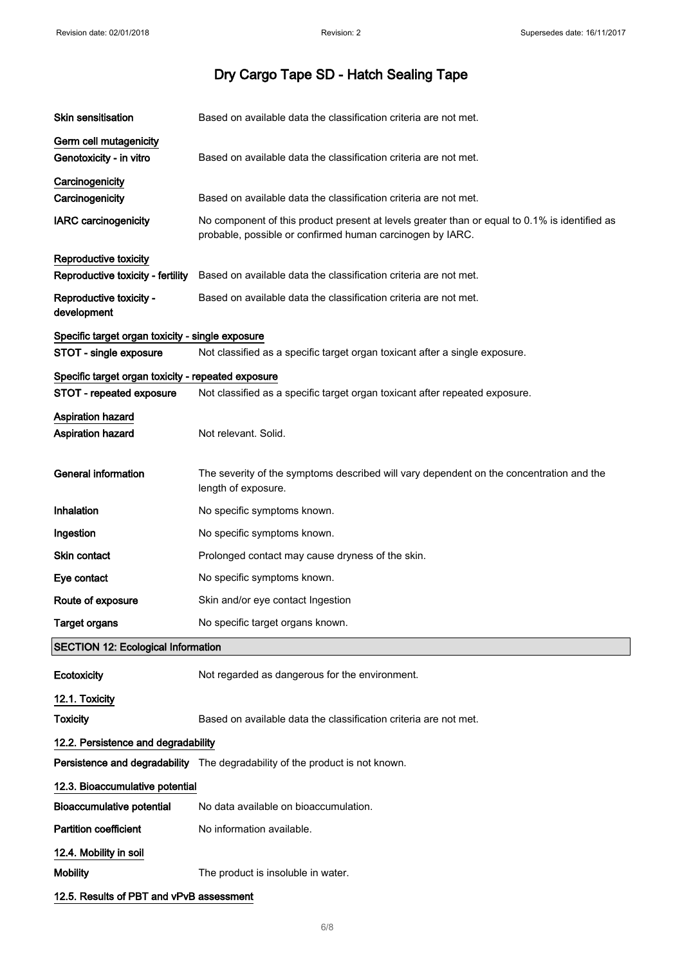| <b>Skin sensitisation</b>                                  | Based on available data the classification criteria are not met.                                                                                           |
|------------------------------------------------------------|------------------------------------------------------------------------------------------------------------------------------------------------------------|
| Germ cell mutagenicity<br>Genotoxicity - in vitro          | Based on available data the classification criteria are not met.                                                                                           |
| Carcinogenicity<br>Carcinogenicity                         | Based on available data the classification criteria are not met.                                                                                           |
| <b>IARC</b> carcinogenicity                                | No component of this product present at levels greater than or equal to 0.1% is identified as<br>probable, possible or confirmed human carcinogen by IARC. |
| Reproductive toxicity<br>Reproductive toxicity - fertility | Based on available data the classification criteria are not met.                                                                                           |
| Reproductive toxicity -<br>development                     | Based on available data the classification criteria are not met.                                                                                           |
| Specific target organ toxicity - single exposure           |                                                                                                                                                            |
| STOT - single exposure                                     | Not classified as a specific target organ toxicant after a single exposure.                                                                                |
| Specific target organ toxicity - repeated exposure         |                                                                                                                                                            |
| STOT - repeated exposure                                   | Not classified as a specific target organ toxicant after repeated exposure.                                                                                |
| Aspiration hazard<br><b>Aspiration hazard</b>              | Not relevant. Solid.                                                                                                                                       |
| General information                                        | The severity of the symptoms described will vary dependent on the concentration and the<br>length of exposure.                                             |
| Inhalation                                                 | No specific symptoms known.                                                                                                                                |
| Ingestion                                                  | No specific symptoms known.                                                                                                                                |
| Skin contact                                               | Prolonged contact may cause dryness of the skin.                                                                                                           |
| Eye contact                                                | No specific symptoms known.                                                                                                                                |
| Route of exposure                                          | Skin and/or eye contact Ingestion                                                                                                                          |
| <b>Target organs</b>                                       | No specific target organs known.                                                                                                                           |
| <b>SECTION 12: Ecological Information</b>                  |                                                                                                                                                            |
| Ecotoxicity                                                | Not regarded as dangerous for the environment.                                                                                                             |
| 12.1. Toxicity                                             |                                                                                                                                                            |
| <b>Toxicity</b>                                            | Based on available data the classification criteria are not met.                                                                                           |
| 12.2. Persistence and degradability                        |                                                                                                                                                            |
|                                                            | Persistence and degradability The degradability of the product is not known.                                                                               |
| 12.3. Bioaccumulative potential                            |                                                                                                                                                            |
| <b>Bioaccumulative potential</b>                           | No data available on bioaccumulation.                                                                                                                      |
| <b>Partition coefficient</b>                               | No information available.                                                                                                                                  |
| 12.4. Mobility in soil                                     |                                                                                                                                                            |
| <b>Mobility</b>                                            | The product is insoluble in water.                                                                                                                         |
| 12.5. Results of PBT and vPvB assessment                   |                                                                                                                                                            |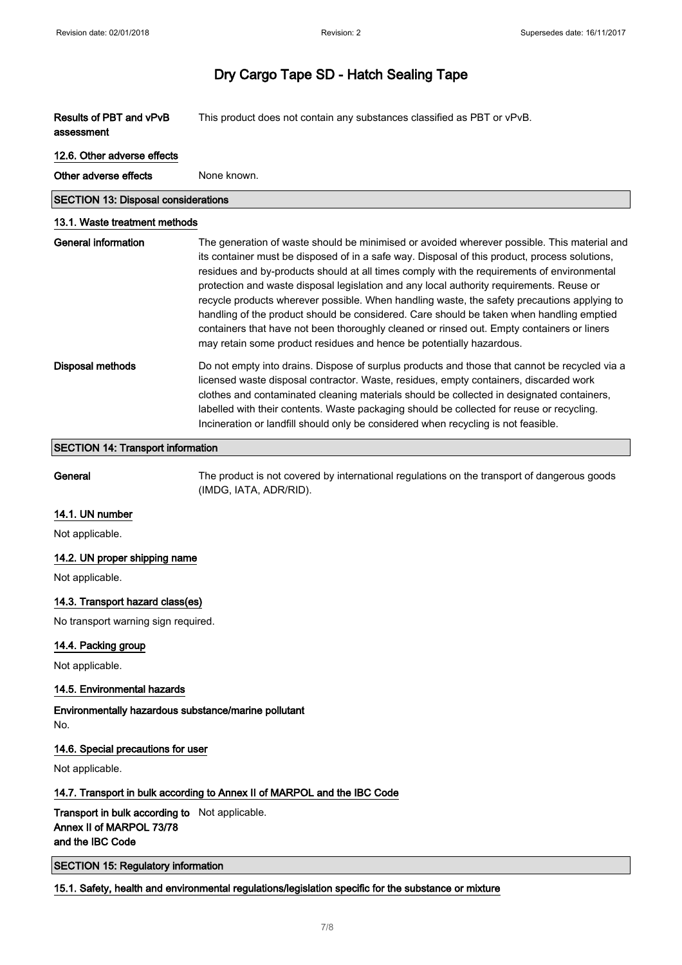| Results of PBT and vPvB<br>assessment      | This product does not contain any substances classified as PBT or vPvB.                                                                                                                                                                                                                                                                                                                                                                                                                                                                                                                                                                                                                                                                                 |
|--------------------------------------------|---------------------------------------------------------------------------------------------------------------------------------------------------------------------------------------------------------------------------------------------------------------------------------------------------------------------------------------------------------------------------------------------------------------------------------------------------------------------------------------------------------------------------------------------------------------------------------------------------------------------------------------------------------------------------------------------------------------------------------------------------------|
| 12.6. Other adverse effects                |                                                                                                                                                                                                                                                                                                                                                                                                                                                                                                                                                                                                                                                                                                                                                         |
| Other adverse effects                      | None known.                                                                                                                                                                                                                                                                                                                                                                                                                                                                                                                                                                                                                                                                                                                                             |
| <b>SECTION 13: Disposal considerations</b> |                                                                                                                                                                                                                                                                                                                                                                                                                                                                                                                                                                                                                                                                                                                                                         |
| 13.1. Waste treatment methods              |                                                                                                                                                                                                                                                                                                                                                                                                                                                                                                                                                                                                                                                                                                                                                         |
| <b>General information</b>                 | The generation of waste should be minimised or avoided wherever possible. This material and<br>its container must be disposed of in a safe way. Disposal of this product, process solutions,<br>residues and by-products should at all times comply with the requirements of environmental<br>protection and waste disposal legislation and any local authority requirements. Reuse or<br>recycle products wherever possible. When handling waste, the safety precautions applying to<br>handling of the product should be considered. Care should be taken when handling emptied<br>containers that have not been thoroughly cleaned or rinsed out. Empty containers or liners<br>may retain some product residues and hence be potentially hazardous. |
| <b>Disposal methods</b>                    | Do not empty into drains. Dispose of surplus products and those that cannot be recycled via a<br>licensed waste disposal contractor. Waste, residues, empty containers, discarded work<br>clothes and contaminated cleaning materials should be collected in designated containers,<br>labelled with their contents. Waste packaging should be collected for reuse or recycling.<br>Incineration or landfill should only be considered when recycling is not feasible.                                                                                                                                                                                                                                                                                  |
| <b>SECTION 14: Transport information</b>   |                                                                                                                                                                                                                                                                                                                                                                                                                                                                                                                                                                                                                                                                                                                                                         |
| General                                    | The product is not covered by international regulations on the transport of dangerous goods<br>(IMDG, IATA, ADR/RID).                                                                                                                                                                                                                                                                                                                                                                                                                                                                                                                                                                                                                                   |
| 14.1. UN number                            |                                                                                                                                                                                                                                                                                                                                                                                                                                                                                                                                                                                                                                                                                                                                                         |
| Not applicable.                            |                                                                                                                                                                                                                                                                                                                                                                                                                                                                                                                                                                                                                                                                                                                                                         |
| 14.2. UN proper shipping name              |                                                                                                                                                                                                                                                                                                                                                                                                                                                                                                                                                                                                                                                                                                                                                         |
| Not applicable.                            |                                                                                                                                                                                                                                                                                                                                                                                                                                                                                                                                                                                                                                                                                                                                                         |
| 14.3. Transport hazard class(es)           |                                                                                                                                                                                                                                                                                                                                                                                                                                                                                                                                                                                                                                                                                                                                                         |
| No transport warning sign required.        |                                                                                                                                                                                                                                                                                                                                                                                                                                                                                                                                                                                                                                                                                                                                                         |
| 14.4. Packing group                        |                                                                                                                                                                                                                                                                                                                                                                                                                                                                                                                                                                                                                                                                                                                                                         |
| Not applicable.                            |                                                                                                                                                                                                                                                                                                                                                                                                                                                                                                                                                                                                                                                                                                                                                         |

### 14.5. Environmental hazards

Environmentally hazardous substance/marine pollutant No.

### 14.6. Special precautions for user

Not applicable.

### 14.7. Transport in bulk according to Annex II of MARPOL and the IBC Code

Transport in bulk according to Not applicable. Annex II of MARPOL 73/78 and the IBC Code

SECTION 15: Regulatory information

15.1. Safety, health and environmental regulations/legislation specific for the substance or mixture